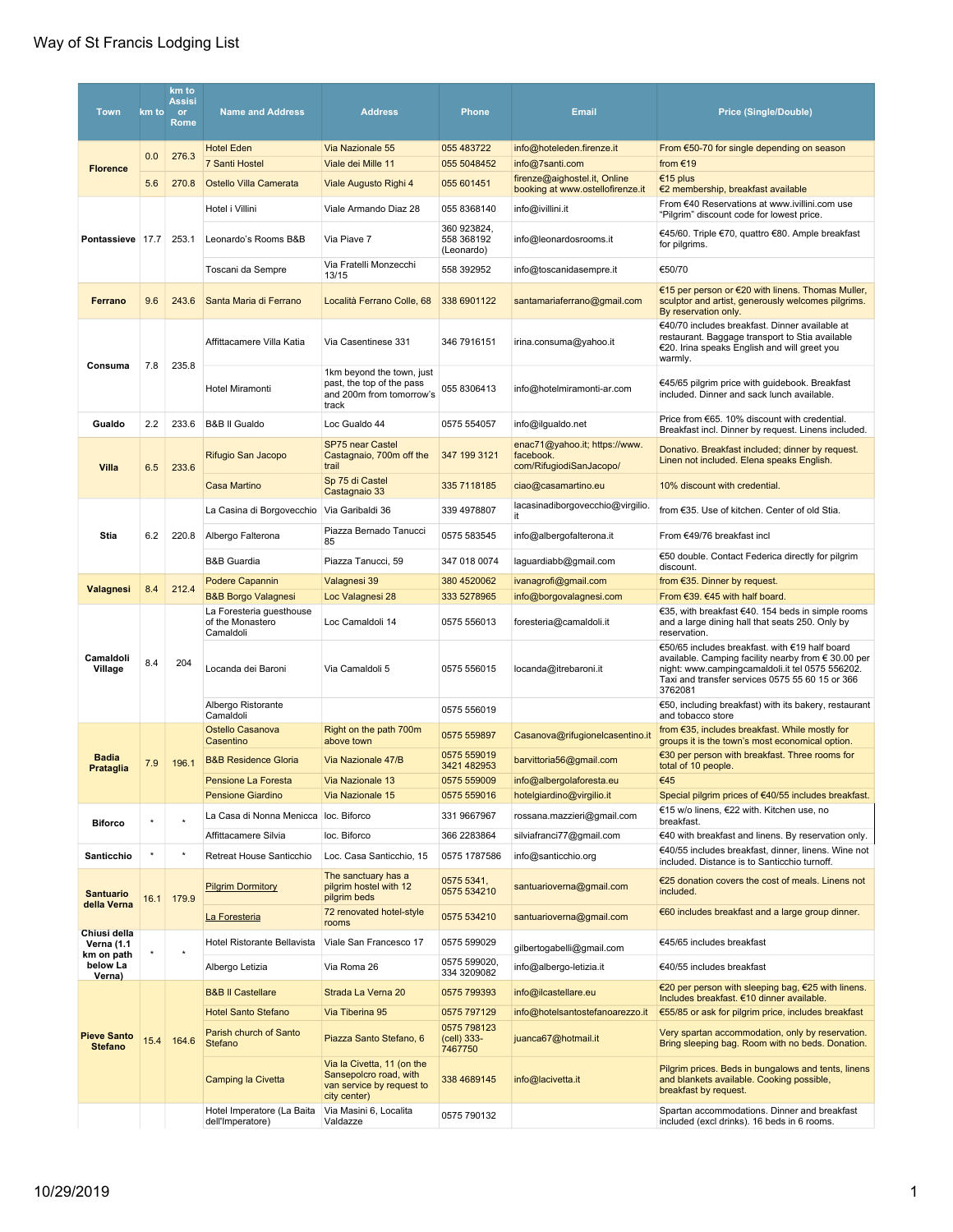| <b>Town</b>                          | km to | km to<br><b>Assisi</b><br>or<br>Rome | <b>Name and Address</b>                                   | <b>Address</b>                                                                                    | <b>Phone</b>                            | <b>Email</b>                                                          | <b>Price (Single/Double)</b>                                                                                                                                                                                           |
|--------------------------------------|-------|--------------------------------------|-----------------------------------------------------------|---------------------------------------------------------------------------------------------------|-----------------------------------------|-----------------------------------------------------------------------|------------------------------------------------------------------------------------------------------------------------------------------------------------------------------------------------------------------------|
|                                      |       |                                      | <b>Hotel Eden</b>                                         | Via Nazionale 55                                                                                  | 055 483722                              | info@hoteleden.firenze.it                                             | From €50-70 for single depending on season                                                                                                                                                                             |
| <b>Florence</b>                      | 0.0   | 276.3                                | <b>7 Santi Hostel</b>                                     | Viale dei Mille 11                                                                                | 055 5048452                             | info@7santi.com                                                       | from €19                                                                                                                                                                                                               |
|                                      | 5.6   | 270.8                                | Ostello Villa Camerata                                    | Viale Augusto Righi 4                                                                             | 055 601451                              | firenze@aighostel.it, Online<br>booking at www.ostellofirenze.it      | €15 plus<br>€2 membership, breakfast available                                                                                                                                                                         |
| Pontassieve 17.7                     |       |                                      | Hotel i Villini                                           | Viale Armando Diaz 28                                                                             | 055 8368140                             | info@ivillini.it                                                      | From €40 Reservations at www.ivillini.com use<br>"Pilgrim" discount code for lowest price.                                                                                                                             |
|                                      |       | 253.1                                | Leonardo's Rooms B&B                                      | Via Piave 7                                                                                       | 360 923824,<br>558 368192<br>(Leonardo) | info@leonardosrooms.it                                                | €45/60. Triple €70, quattro €80. Ample breakfast<br>for pilgrims.                                                                                                                                                      |
|                                      |       |                                      | Toscani da Sempre                                         | Via Fratelli Monzecchi<br>13/15                                                                   | 558 392952                              | info@toscanidasempre.it                                               | €50/70                                                                                                                                                                                                                 |
| Ferrano                              | 9.6   | 243.6                                | Santa Maria di Ferrano                                    | Località Ferrano Colle, 68                                                                        | 338 6901122                             | santamariaferrano@gmail.com                                           | €15 per person or €20 with linens. Thomas Muller,<br>sculptor and artist, generously welcomes pilgrims.<br>By reservation only.                                                                                        |
| Consuma                              | 7.8   | 235.8                                | Affittacamere Villa Katia                                 | Via Casentinese 331                                                                               | 346 7916151                             | irina.consuma@yahoo.it                                                | €40/70 includes breakfast. Dinner available at<br>restaurant. Baggage transport to Stia available<br>€20. Irina speaks English and will greet you<br>warmly.                                                           |
|                                      |       |                                      | Hotel Miramonti                                           | 1km beyond the town, just<br>past, the top of the pass<br>and 200m from tomorrow's<br>track       | 055 8306413                             | info@hotelmiramonti-ar.com                                            | €45/65 pilgrim price with guidebook. Breakfast<br>included. Dinner and sack lunch available.                                                                                                                           |
| Gualdo                               | 2.2   | 233.6                                | <b>B&amp;B II Gualdo</b>                                  | Loc Gualdo 44                                                                                     | 0575 554057                             | info@ilgualdo.net                                                     | Price from €65. 10% discount with credential.<br>Breakfast incl. Dinner by request. Linens included.                                                                                                                   |
| Villa                                | 6.5   | 233.6                                | Rifugio San Jacopo                                        | SP75 near Castel<br>Castagnaio, 700m off the<br>trail                                             | 347 199 3121                            | enac71@yahoo.it; https://www.<br>facebook.<br>com/RifugiodiSanJacopo/ | Donativo. Breakfast included; dinner by request.<br>Linen not included. Elena speaks English.                                                                                                                          |
|                                      |       |                                      | Casa Martino                                              | Sp 75 di Castel<br>Castagnaio 33                                                                  | 335 7118185                             | ciao@casamartino.eu                                                   | 10% discount with credential.                                                                                                                                                                                          |
|                                      |       |                                      | La Casina di Borgovecchio                                 | Via Garibaldi 36                                                                                  | 339 4978807                             | lacasinadiborgovecchio@virgilio.<br>it                                | from €35. Use of kitchen. Center of old Stia.                                                                                                                                                                          |
| Stia                                 | 6.2   | 220.8                                | Albergo Falterona                                         | Piazza Bernado Tanucci<br>85                                                                      | 0575 583545                             | info@albergofalterona.it                                              | From €49/76 breakfast incl                                                                                                                                                                                             |
|                                      |       |                                      | <b>B&amp;B Guardia</b>                                    | Piazza Tanucci, 59                                                                                | 347 018 0074                            | laguardiabb@gmail.com                                                 | €50 double. Contact Federica directly for pilgrim<br>discount.                                                                                                                                                         |
| Valagnesi                            | 8.4   | 212.4                                | Podere Capannin                                           | Valagnesi 39                                                                                      | 380 4520062                             | ivanagrofi@gmail.com                                                  | from €35. Dinner by request.                                                                                                                                                                                           |
|                                      |       |                                      | <b>B&amp;B Borgo Valagnesi</b>                            | Loc Valagnesi 28                                                                                  | 333 5278965                             | info@borgovalagnesi.com                                               | From €39. €45 with half board.                                                                                                                                                                                         |
|                                      |       | 204                                  | La Foresteria guesthouse<br>of the Monastero<br>Camaldoli | Loc Camaldoli 14                                                                                  | 0575 556013                             | foresteria@camaldoli.it                                               | €35, with breakfast €40. 154 beds in simple rooms<br>and a large dining hall that seats 250. Only by<br>reservation.                                                                                                   |
| Camaldoli<br>Village                 | 8.4   |                                      | Locanda dei Baroni                                        | Via Camaldoli 5                                                                                   | 0575 556015                             | locanda@itrebaroni.it                                                 | €50/65 includes breakfast. with €19 half board<br>available. Camping facility nearby from € 30.00 per<br>night: www.campingcamaldoli.it tel 0575 556202.<br>Taxi and transfer services 0575 55 60 15 or 366<br>3762081 |
|                                      |       |                                      | Albergo Ristorante<br>Camaldoli                           |                                                                                                   | 0575 556019                             |                                                                       | €50, including breakfast) with its bakery, restaurant<br>and tobacco store                                                                                                                                             |
|                                      |       |                                      | Ostello Casanova<br>Casentino                             | Right on the path 700m<br>above town                                                              | 0575 559897                             | Casanova@rifugionelcasentino.it                                       | from €35, includes breakfast. While mostly for<br>groups it is the town's most economical option.                                                                                                                      |
| <b>Badia</b><br>Prataglia            | 7.9   | 196.1                                | <b>B&amp;B Residence Gloria</b>                           | Via Nazionale 47/B                                                                                | 0575 559019<br>3421 482953              | barvittoria56@gmail.com                                               | €30 per person with breakfast. Three rooms for<br>total of 10 people.                                                                                                                                                  |
|                                      |       |                                      | Pensione La Foresta                                       | Via Nazionale 13                                                                                  | 0575 559009                             | info@albergolaforesta.eu                                              | €45                                                                                                                                                                                                                    |
|                                      |       |                                      | <b>Pensione Giardino</b>                                  | Via Nazionale 15                                                                                  | 0575 559016                             | hotelgiardino@virgilio.it                                             | Special pilgrim prices of €40/55 includes breakfast.                                                                                                                                                                   |
| <b>Biforco</b>                       |       |                                      | La Casa di Nonna Menicca loc. Biforco                     |                                                                                                   | 331 9667967                             | rossana.mazzieri@gmail.com                                            | €15 w/o linens, €22 with. Kitchen use, no<br>breakfast.                                                                                                                                                                |
|                                      |       |                                      | Affittacamere Silvia                                      | loc. Biforco                                                                                      | 366 2283864                             | silviafranci77@gmail.com                                              | €40 with breakfast and linens. By reservation only.                                                                                                                                                                    |
| Santicchio                           |       |                                      | Retreat House Santicchio                                  | Loc. Casa Santicchio, 15                                                                          | 0575 1787586                            | info@santicchio.org                                                   | €40/55 includes breakfast, dinner, linens. Wine not<br>included. Distance is to Santicchio turnoff.                                                                                                                    |
| <b>Santuario</b><br>della Verna      | 16.1  | 179.9                                | <b>Pilgrim Dormitory</b>                                  | The sanctuary has a<br>pilgrim hostel with 12<br>pilgrim beds                                     | 0575 5341,<br>0575 534210               | santuarioverna@gmail.com                                              | €25 donation covers the cost of meals. Linens not<br>included.                                                                                                                                                         |
|                                      |       |                                      | La Foresteria                                             | 72 renovated hotel-style<br>rooms                                                                 | 0575 534210                             | santuarioverna@gmail.com                                              | €60 includes breakfast and a large group dinner.                                                                                                                                                                       |
| Chiusi della<br><b>Verna (1.1</b>    |       |                                      | Hotel Ristorante Bellavista                               | Viale San Francesco 17                                                                            | 0575 599029                             | gilbertogabelli@gmail.com                                             | €45/65 includes breakfast                                                                                                                                                                                              |
| km on path<br>below La               |       |                                      | Albergo Letizia                                           | Via Roma 26                                                                                       | 0575 599020,<br>334 3209082             | info@albergo-letizia.it                                               | €40/55 includes breakfast                                                                                                                                                                                              |
| Verna)                               |       |                                      | <b>B&amp;B II Castellare</b>                              | Strada La Verna 20                                                                                | 0575 799393                             | info@ilcastellare.eu                                                  | €20 per person with sleeping bag, €25 with linens.<br>Includes breakfast. €10 dinner available.                                                                                                                        |
|                                      |       |                                      | <b>Hotel Santo Stefano</b>                                | Via Tiberina 95                                                                                   | 0575 797129                             | info@hotelsantostefanoarezzo.it                                       | €55/85 or ask for pilgrim price, includes breakfast                                                                                                                                                                    |
| <b>Pieve Santo</b><br><b>Stefano</b> | 15.4  | 164.6                                | Parish church of Santo<br>Stefano                         | Piazza Santo Stefano, 6                                                                           | 0575 798123<br>(cell) 333-<br>7467750   | juanca67@hotmail.it                                                   | Very spartan accommodation, only by reservation.<br>Bring sleeping bag. Room with no beds. Donation.                                                                                                                   |
|                                      |       |                                      | Camping la Civetta                                        | Via la Civetta, 11 (on the<br>Sansepolcro road, with<br>van service by request to<br>city center) | 338 4689145                             | info@lacivetta.it                                                     | Pilgrim prices. Beds in bungalows and tents, linens<br>and blankets available. Cooking possible,<br>breakfast by request.                                                                                              |
|                                      |       |                                      | Hotel Imperatore (La Baita<br>dell'Imperatore)            | Via Masini 6, Localita<br>Valdazze                                                                | 0575 790132                             |                                                                       | Spartan accommodations. Dinner and breakfast<br>included (excl drinks). 16 beds in 6 rooms.                                                                                                                            |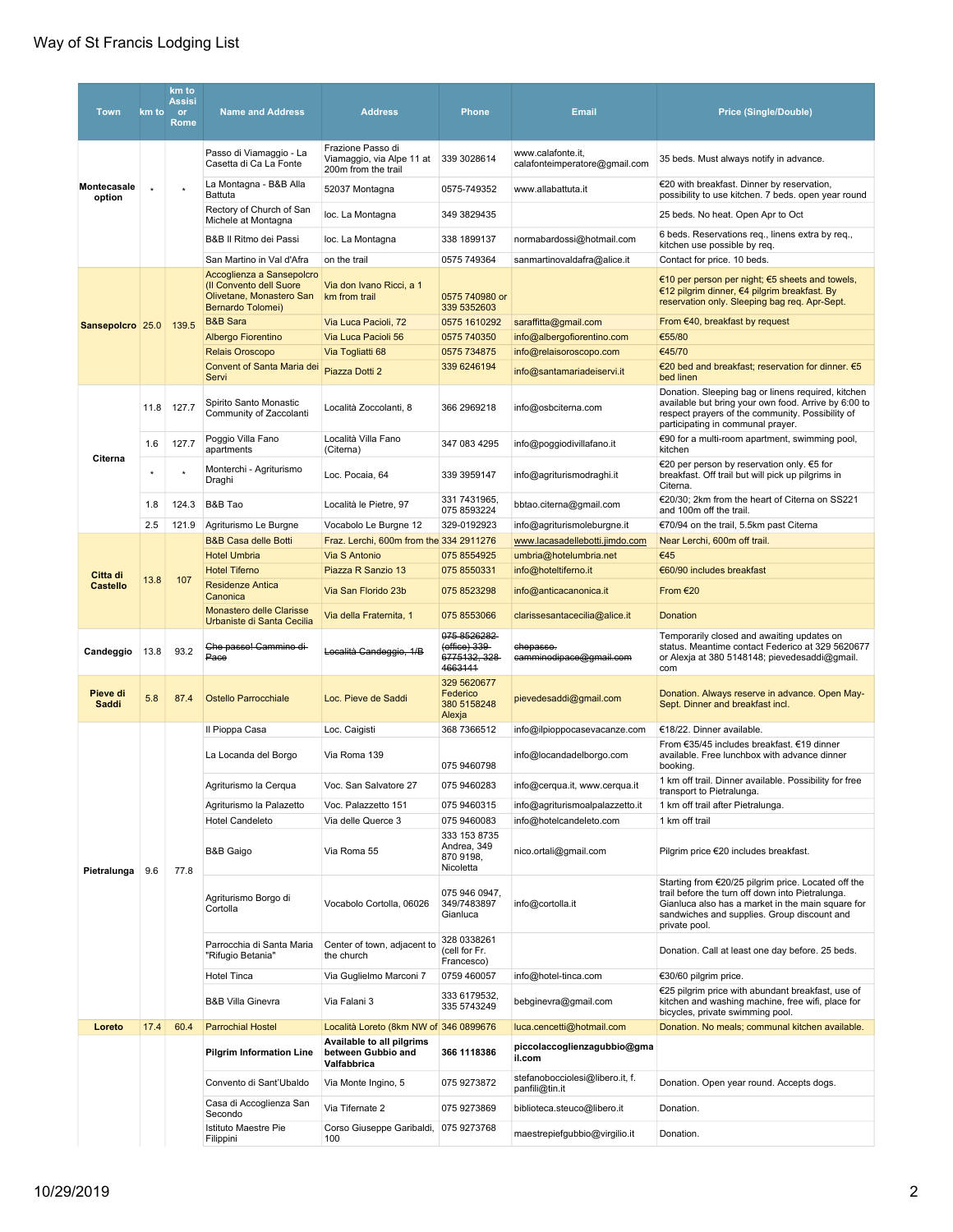| <b>Town</b>                 | km to   | km to<br><b>Assisi</b><br>or<br><b>Rome</b> | <b>Name and Address</b>                                                                               | <b>Address</b>                                                        | <b>Phone</b>                                     | <b>Email</b>                                       | <b>Price (Single/Double)</b>                                                                                                                                                                        |                                                                                                                                                                                                                              |                                       |
|-----------------------------|---------|---------------------------------------------|-------------------------------------------------------------------------------------------------------|-----------------------------------------------------------------------|--------------------------------------------------|----------------------------------------------------|-----------------------------------------------------------------------------------------------------------------------------------------------------------------------------------------------------|------------------------------------------------------------------------------------------------------------------------------------------------------------------------------------------------------------------------------|---------------------------------------|
|                             |         |                                             | Passo di Viamaggio - La<br>Casetta di Ca La Fonte                                                     | Frazione Passo di<br>Viamaggio, via Alpe 11 at<br>200m from the trail | 339 3028614                                      | www.calafonte.it,<br>calafonteimperatore@gmail.com | 35 beds. Must always notify in advance.                                                                                                                                                             |                                                                                                                                                                                                                              |                                       |
| Montecasale<br>option       | $\star$ |                                             | La Montagna - B&B Alla<br>Battuta                                                                     | 52037 Montagna                                                        | 0575-749352                                      | www.allabattuta.it                                 | €20 with breakfast. Dinner by reservation,<br>possibility to use kitchen. 7 beds. open year round                                                                                                   |                                                                                                                                                                                                                              |                                       |
|                             |         |                                             | Rectory of Church of San<br>Michele at Montagna                                                       | loc. La Montagna                                                      | 349 3829435                                      |                                                    | 25 beds. No heat. Open Apr to Oct                                                                                                                                                                   |                                                                                                                                                                                                                              |                                       |
|                             |         |                                             | B&B II Ritmo dei Passi                                                                                | loc. La Montagna                                                      | 338 1899137                                      | normabardossi@hotmail.com                          | 6 beds. Reservations req., linens extra by req.,<br>kitchen use possible by req.                                                                                                                    |                                                                                                                                                                                                                              |                                       |
|                             |         |                                             | San Martino in Val d'Afra                                                                             | on the trail                                                          | 0575 749364                                      | sanmartinovaldafra@alice.it                        | Contact for price. 10 beds.                                                                                                                                                                         |                                                                                                                                                                                                                              |                                       |
|                             |         |                                             | Accoglienza a Sansepolcro<br>(Il Convento dell Suore<br>Olivetane, Monastero San<br>Bernardo Tolomei) | Via don Ivano Ricci, a 1<br>km from trail                             | 0575 740980 or<br>339 5352603                    |                                                    | €10 per person per night; $€5$ sheets and towels,<br>€12 pilgrim dinner, €4 pilgrim breakfast. By<br>reservation only. Sleeping bag req. Apr-Sept.                                                  |                                                                                                                                                                                                                              |                                       |
| Sansepolcro 25.0            |         | 139.5                                       | <b>B&amp;B Sara</b>                                                                                   | Via Luca Pacioli, 72                                                  | 0575 1610292                                     | saraffitta@gmail.com                               | From $€40$ , breakfast by request                                                                                                                                                                   |                                                                                                                                                                                                                              |                                       |
|                             |         |                                             | Albergo Fiorentino                                                                                    | Via Luca Pacioli 56                                                   | 0575 740350                                      | info@albergofiorentino.com                         | €55/80                                                                                                                                                                                              |                                                                                                                                                                                                                              |                                       |
|                             |         |                                             | <b>Relais Oroscopo</b>                                                                                | Via Togliatti 68                                                      | 0575 734875                                      | info@relaisoroscopo.com                            | €45/70                                                                                                                                                                                              |                                                                                                                                                                                                                              |                                       |
|                             |         |                                             | Convent of Santa Maria dei<br>Servi                                                                   | Piazza Dotti 2                                                        | 339 6246194                                      | info@santamariadeiservi.it                         | €20 bed and breakfast; reservation for dinner. €5<br>bed linen                                                                                                                                      |                                                                                                                                                                                                                              |                                       |
|                             | 11.8    | 127.7                                       | Spirito Santo Monastic<br>Community of Zaccolanti                                                     | Località Zoccolanti, 8                                                | 366 2969218                                      | info@osbciterna.com                                | Donation. Sleeping bag or linens required, kitchen<br>available but bring your own food. Arrive by 6:00 to<br>respect prayers of the community. Possibility of<br>participating in communal prayer. |                                                                                                                                                                                                                              |                                       |
|                             | 1.6     | 127.7                                       | Poggio Villa Fano<br>apartments                                                                       | Località Villa Fano<br>(Citerna)                                      | 347 083 4295                                     | info@poggiodivillafano.it                          | €90 for a multi-room apartment, swimming pool,<br>kitchen                                                                                                                                           |                                                                                                                                                                                                                              |                                       |
| Citerna                     | $\star$ |                                             | Monterchi - Agriturismo<br>Draghi                                                                     | Loc. Pocaia, 64                                                       | 339 3959147                                      | info@agriturismodraghi.it                          | €20 per person by reservation only. €5 for<br>breakfast. Off trail but will pick up pilgrims in<br>Citerna.                                                                                         |                                                                                                                                                                                                                              |                                       |
|                             | 1.8     | 124.3                                       | B&B Tao                                                                                               | Località le Pietre, 97                                                | 331 7431965,<br>075 8593224                      | bbtao.citerna@gmail.com                            | €20/30: 2km from the heart of Citerna on SS221<br>and 100m off the trail.                                                                                                                           |                                                                                                                                                                                                                              |                                       |
|                             | 2.5     | 121.9                                       | Agriturismo Le Burgne                                                                                 | Vocabolo Le Burgne 12                                                 | 329-0192923                                      | info@agriturismoleburgne.it                        | €70/94 on the trail, 5.5km past Citerna                                                                                                                                                             |                                                                                                                                                                                                                              |                                       |
|                             |         |                                             | <b>B&amp;B Casa delle Botti</b>                                                                       | Fraz. Lerchi, 600m from the 334 2911276                               |                                                  | www.lacasadellebotti.jimdo.com                     | Near Lerchi, 600m off trail.                                                                                                                                                                        |                                                                                                                                                                                                                              |                                       |
|                             | 13.8    | 107                                         | <b>Hotel Umbria</b>                                                                                   | <b>Via S Antonio</b>                                                  | 075 8554925                                      | umbria@hotelumbria.net                             | €45                                                                                                                                                                                                 |                                                                                                                                                                                                                              |                                       |
| Citta di<br><b>Castello</b> |         |                                             | <b>Hotel Tiferno</b>                                                                                  | Piazza R Sanzio 13                                                    | 075 8550331                                      | info@hoteltiferno.it                               | €60/90 includes breakfast                                                                                                                                                                           |                                                                                                                                                                                                                              |                                       |
|                             |         |                                             | <b>Residenze Antica</b><br>Canonica                                                                   | Via San Florido 23b                                                   | 075 8523298                                      | info@anticacanonica.it                             | From €20                                                                                                                                                                                            |                                                                                                                                                                                                                              |                                       |
|                             |         |                                             | Monastero delle Clarisse                                                                              | Via della Fraternita, 1                                               | 075 8553066                                      | clarissesantacecilia@alice.it                      | Donation                                                                                                                                                                                            |                                                                                                                                                                                                                              |                                       |
|                             |         |                                             | Urbaniste di Santa Cecilia                                                                            |                                                                       | 075 8526282                                      |                                                    |                                                                                                                                                                                                     |                                                                                                                                                                                                                              |                                       |
| Candeggio                   | 13.8    | 93.2                                        | Che passo! Cammino di-<br>Pace                                                                        | Località Candeggio, 1/B                                               | (office) 339-<br>6775132, 328<br>4663141         | chepasso.<br>camminodipace@gmail.com               | Temporarily closed and awaiting updates on<br>status. Meantime contact Federico at 329 5620677<br>or Alexja at 380 5148148; pievedesaddi@gmail.<br>com                                              |                                                                                                                                                                                                                              |                                       |
| Pieve di<br>Saddi           | 5.8     | 87.4                                        | Ostello Parrocchiale                                                                                  | Loc. Pieve de Saddi                                                   | 329 5620677<br>Federico<br>380 5158248<br>Alexja | pievedesaddi@gmail.com                             | Donation. Always reserve in advance. Open May-<br>Sept. Dinner and breakfast incl.                                                                                                                  |                                                                                                                                                                                                                              |                                       |
|                             |         |                                             | Il Pioppa Casa                                                                                        | Loc. Caigisti                                                         | 368 7366512                                      | info@ilpioppocasevacanze.com                       | €18/22. Dinner available.                                                                                                                                                                           |                                                                                                                                                                                                                              |                                       |
|                             |         |                                             | La Locanda del Borgo                                                                                  | Via Roma 139                                                          | 075 9460798                                      | info@locandadelborgo.com                           | From €35/45 includes breakfast. €19 dinner<br>available. Free lunchbox with advance dinner<br>booking.                                                                                              |                                                                                                                                                                                                                              |                                       |
|                             |         |                                             | Agriturismo la Cerqua                                                                                 | Voc. San Salvatore 27                                                 | 075 9460283                                      | info@cerqua.it, www.cerqua.it                      | 1 km off trail. Dinner available. Possibility for free<br>transport to Pietralunga.                                                                                                                 |                                                                                                                                                                                                                              |                                       |
|                             |         |                                             | Agriturismo la Palazetto                                                                              | Voc. Palazzetto 151                                                   | 075 9460315                                      | info@agriturismoalpalazzetto.it                    | 1 km off trail after Pietralunga.                                                                                                                                                                   |                                                                                                                                                                                                                              |                                       |
|                             |         |                                             | <b>Hotel Candeleto</b>                                                                                | Via delle Querce 3                                                    | 075 9460083                                      | info@hotelcandeleto.com                            | 1 km off trail                                                                                                                                                                                      |                                                                                                                                                                                                                              |                                       |
| Pietralunga                 | 9.6     |                                             |                                                                                                       | 77.8                                                                  | B&B Gaigo                                        | Via Roma 55                                        | 333 153 8735<br>Andrea, 349<br>870 9198,<br>Nicoletta                                                                                                                                               | nico.ortali@gmail.com                                                                                                                                                                                                        | Pilgrim price €20 includes breakfast. |
|                             |         |                                             |                                                                                                       | Agriturismo Borgo di<br>Cortolla                                      | Vocabolo Cortolla, 06026                         | 075 946 0947,<br>349/7483897<br>Gianluca           | info@cortolla.it                                                                                                                                                                                    | Starting from €20/25 pilgrim price. Located off the<br>trail before the turn off down into Pietralunga.<br>Gianluca also has a market in the main square for<br>sandwiches and supplies. Group discount and<br>private pool. |                                       |
|                             |         |                                             | Parrocchia di Santa Maria<br>"Rifugio Betania"                                                        | Center of town, adjacent to<br>the church                             | 328 0338261<br>(cell for Fr.<br>Francesco)       |                                                    | Donation. Call at least one day before. 25 beds.                                                                                                                                                    |                                                                                                                                                                                                                              |                                       |
|                             |         |                                             | <b>Hotel Tinca</b>                                                                                    | Via Guglielmo Marconi 7                                               | 0759 460057                                      | info@hotel-tinca.com                               | €30/60 pilgrim price.                                                                                                                                                                               |                                                                                                                                                                                                                              |                                       |
|                             |         |                                             | <b>B&amp;B Villa Ginevra</b>                                                                          | Via Falani 3                                                          | 333 6179532,<br>335 5743249                      | bebginevra@gmail.com                               | €25 pilgrim price with abundant breakfast, use of<br>kitchen and washing machine, free wifi, place for<br>bicycles, private swimming pool.                                                          |                                                                                                                                                                                                                              |                                       |
| Loreto                      | 17.4    | 60.4                                        | <b>Parrochial Hostel</b>                                                                              | Località Loreto (8km NW of 346 0899676                                |                                                  | luca.cencetti@hotmail.com                          | Donation. No meals; communal kitchen available.                                                                                                                                                     |                                                                                                                                                                                                                              |                                       |
|                             |         |                                             | <b>Pilgrim Information Line</b>                                                                       | Available to all pilgrims<br>between Gubbio and<br>Valfabbrica        | 366 1118386                                      | piccolaccoglienzagubbio@gma<br>il.com              |                                                                                                                                                                                                     |                                                                                                                                                                                                                              |                                       |
|                             |         |                                             | Convento di Sant'Ubaldo                                                                               | Via Monte Ingino, 5                                                   | 075 9273872                                      | stefanobocciolesi@libero.it, f.<br>panfili@tin.it  | Donation. Open year round. Accepts dogs.                                                                                                                                                            |                                                                                                                                                                                                                              |                                       |
|                             |         |                                             | Casa di Accoglienza San<br>Secondo                                                                    | Via Tifernate 2                                                       | 075 9273869                                      | biblioteca.steuco@libero.it                        | Donation.                                                                                                                                                                                           |                                                                                                                                                                                                                              |                                       |
|                             |         |                                             | Istituto Maestre Pie<br>Filippini                                                                     | Corso Giuseppe Garibaldi, 075 9273768<br>100                          |                                                  | maestrepiefgubbio@virgilio.it                      | Donation.                                                                                                                                                                                           |                                                                                                                                                                                                                              |                                       |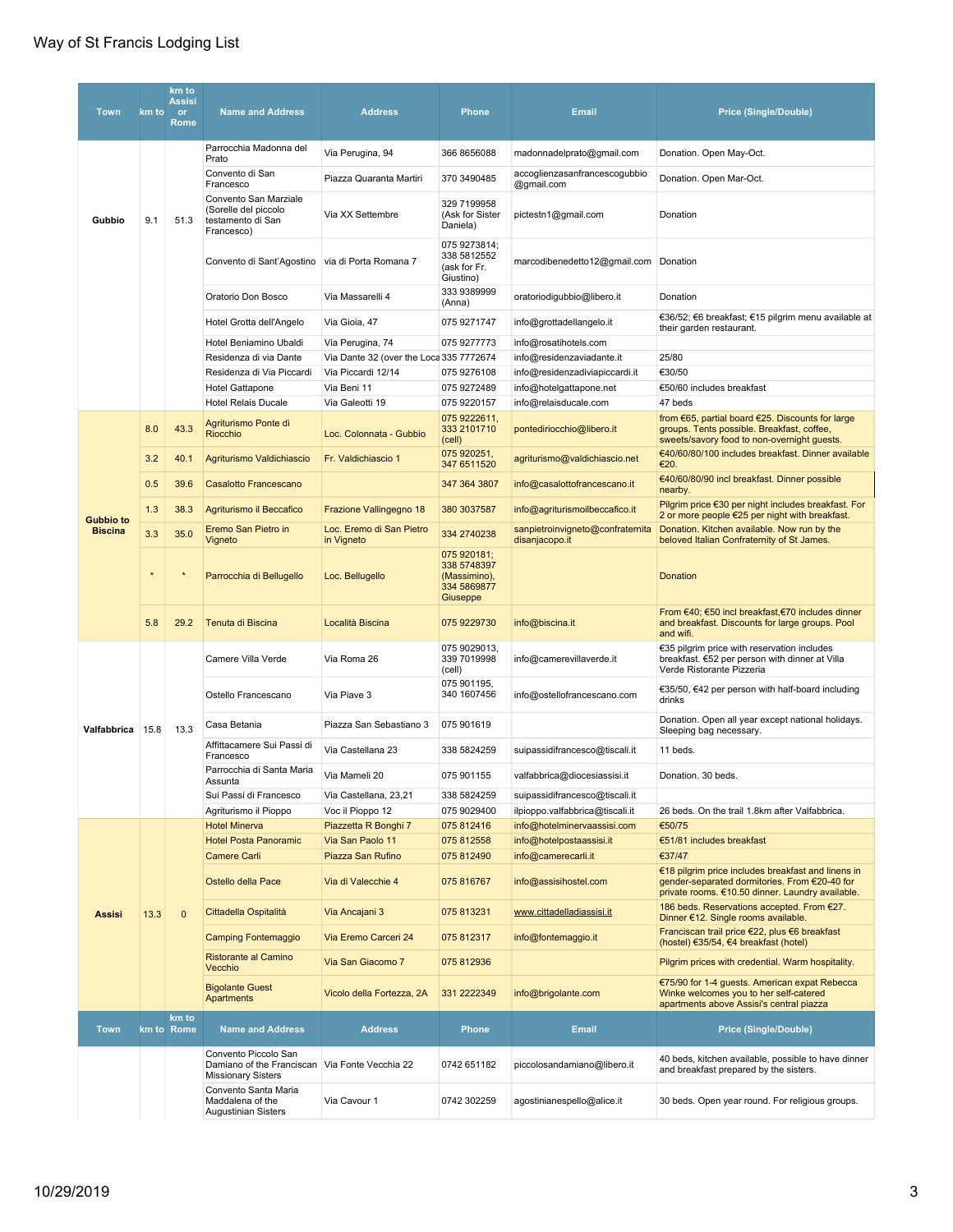## Way of St Francis Lodging List

| <b>Town</b>      | km to   | km to<br><b>Assisi</b><br><b>or</b><br>Rome | <b>Name and Address</b>                                                                             | <b>Address</b>                          | <b>Phone</b>                                                          | <b>Email</b>                                       | <b>Price (Single/Double)</b>                                                                                                                            |
|------------------|---------|---------------------------------------------|-----------------------------------------------------------------------------------------------------|-----------------------------------------|-----------------------------------------------------------------------|----------------------------------------------------|---------------------------------------------------------------------------------------------------------------------------------------------------------|
|                  |         |                                             | Parrocchia Madonna del<br>Prato                                                                     | Via Perugina, 94                        | 366 8656088                                                           | madonnadelprato@gmail.com                          | Donation. Open May-Oct.                                                                                                                                 |
|                  |         |                                             | Convento di San<br>Francesco                                                                        | Piazza Quaranta Martiri                 | 370 3490485                                                           | accoglienzasanfrancescogubbio<br>@gmail.com        | Donation. Open Mar-Oct.                                                                                                                                 |
| Gubbio           | 9.1     | 51.3                                        | Convento San Marziale<br>(Sorelle del piccolo<br>testamento di San<br>Francesco)                    | Via XX Settembre                        | 329 7199958<br>(Ask for Sister<br>Daniela)                            | pictestn1@gmail.com                                | Donation                                                                                                                                                |
|                  |         |                                             | Convento di Sant'Agostino via di Porta Romana 7                                                     |                                         | 075 9273814;<br>338 5812552<br>(ask for Fr.<br>Giustino)              | marcodibenedetto12@gmail.com Donation              |                                                                                                                                                         |
|                  |         |                                             | Oratorio Don Bosco                                                                                  | Via Massarelli 4                        | 333 9389999<br>(Anna)                                                 | oratoriodigubbio@libero.it                         | Donation                                                                                                                                                |
|                  |         |                                             | Hotel Grotta dell'Angelo                                                                            | Via Gioia, 47                           | 075 9271747                                                           | info@grottadellangelo.it                           | €36/52; €6 breakfast; €15 pilgrim menu available at<br>their garden restaurant.                                                                         |
|                  |         |                                             | Hotel Beniamino Ubaldi                                                                              | Via Perugina, 74                        | 075 9277773                                                           | info@rosatihotels.com                              |                                                                                                                                                         |
|                  |         |                                             | Residenza di via Dante                                                                              | Via Dante 32 (over the Loca 335 7772674 |                                                                       | info@residenzaviadante.it                          | 25/80                                                                                                                                                   |
|                  |         |                                             | Residenza di Via Piccardi                                                                           | Via Piccardi 12/14                      | 075 9276108                                                           | info@residenzadiviapiccardi.it                     | €30/50                                                                                                                                                  |
|                  |         |                                             | Hotel Gattapone                                                                                     | Via Beni 11                             | 075 9272489                                                           | info@hotelgattapone.net                            | €50/60 includes breakfast                                                                                                                               |
|                  |         |                                             | <b>Hotel Relais Ducale</b>                                                                          | Via Galeotti 19                         | 075 9220157                                                           | info@relaisducale.com                              | 47 beds                                                                                                                                                 |
|                  | 8.0     | 43.3                                        | Agriturismo Ponte di<br>Riocchio                                                                    | Loc. Colonnata - Gubbio                 | 075 9222611,<br>333 2101710<br>(cell)                                 | pontediriocchio@libero.it                          | from €65, partial board €25. Discounts for large<br>groups. Tents possible. Breakfast, coffee,<br>sweets/savory food to non-overnight guests.           |
|                  | 3.2     | 40.1                                        | Agriturismo Valdichiascio                                                                           | Fr. Valdichiascio 1                     | 075 920251,<br>347 6511520                                            | agriturismo@valdichiascio.net                      | €40/60/80/100 includes breakfast. Dinner available<br>€20.                                                                                              |
|                  | 0.5     | 39.6                                        | Casalotto Francescano                                                                               |                                         | 347 364 3807                                                          | info@casalottofrancescano.it                       | €40/60/80/90 incl breakfast. Dinner possible<br>nearby.                                                                                                 |
| <b>Gubbio to</b> | 1.3     | 38.3                                        | Agriturismo il Beccafico                                                                            | Frazione Vallingegno 18                 | 380 3037587                                                           | info@agriturismoilbeccafico.it                     | Pilgrim price €30 per night includes breakfast. For<br>2 or more people €25 per night with breakfast.                                                   |
| <b>Biscina</b>   | 3.3     | 35.0                                        | Eremo San Pietro in<br>Vigneto                                                                      | Loc. Eremo di San Pietro<br>in Vigneto  | 334 2740238                                                           | sanpietroinvigneto@confraternita<br>disanjacopo.it | Donation. Kitchen available. Now run by the<br>beloved Italian Confraternity of St James.                                                               |
|                  | $\star$ | $\star$                                     | Parrocchia di Bellugello                                                                            | Loc. Bellugello                         | 075 920181;<br>338 5748397<br>(Massimino),<br>334 5869877<br>Giuseppe |                                                    | Donation                                                                                                                                                |
|                  | 5.8     | 29.2                                        | Tenuta di Biscina                                                                                   | Località Biscina                        | 075 9229730                                                           | info@biscina.it                                    | From €40; €50 incl breakfast, €70 includes dinner<br>and breakfast. Discounts for large groups. Pool<br>and wifi.                                       |
|                  |         |                                             | Camere Villa Verde                                                                                  | Via Roma 26                             | 075 9029013,<br>339 7019998<br>(cell)                                 | info@camerevillaverde.it                           | €35 pilgrim price with reservation includes<br>breakfast. €52 per person with dinner at Villa<br>Verde Ristorante Pizzeria                              |
|                  |         |                                             | Ostello Francescano                                                                                 | Via Piave 3                             | 075 901195,<br>340 1607456                                            | info@ostellofrancescano.com                        | €35/50, €42 per person with half-board including<br>drinks                                                                                              |
| Valfabbrica      | 15.8    | 13.3                                        | Casa Betania                                                                                        | Piazza San Sebastiano 3                 | 075 901619                                                            |                                                    | Donation. Open all year except national holidays.<br>Sleeping bag necessary.                                                                            |
|                  |         |                                             | Affittacamere Sui Passi di<br>Francesco                                                             | Via Castellana 23                       | 338 5824259                                                           | suipassidifrancesco@tiscali.it                     | 11 beds.                                                                                                                                                |
|                  |         |                                             | Parrocchia di Santa Maria<br>Assunta                                                                | Via Mameli 20                           | 075 901155                                                            | valfabbrica@diocesiassisi.it                       | Donation. 30 beds.                                                                                                                                      |
|                  |         |                                             | Sui Passi di Francesco                                                                              | Via Castellana, 23,21                   | 338 5824259                                                           | suipassidifrancesco@tiscali.it                     |                                                                                                                                                         |
|                  |         |                                             | Agriturismo il Pioppo                                                                               | Voc il Pioppo 12                        | 075 9029400                                                           | ilpioppo.valfabbrica@tiscali.it                    | 26 beds. On the trail 1.8km after Valfabbrica.                                                                                                          |
|                  |         |                                             | <b>Hotel Minerva</b>                                                                                | Piazzetta R Bonghi 7                    | 075 812416                                                            | info@hotelminervaassisi.com                        | €50/75                                                                                                                                                  |
|                  |         |                                             | <b>Hotel Posta Panoramic</b><br><b>Camere Carli</b>                                                 | Via San Paolo 11<br>Piazza San Rufino   | 075 812558<br>075 812490                                              | info@hotelpostaassisi.it<br>info@camerecarli.it    | €51/81 includes breakfast<br>€37/47                                                                                                                     |
|                  |         |                                             | Ostello della Pace                                                                                  | Via di Valecchie 4                      | 075 816767                                                            | info@assisihostel.com                              | €18 pilgrim price includes breakfast and linens in<br>gender-separated dormitories. From €20-40 for<br>private rooms. €10.50 dinner. Laundry available. |
| <b>Assisi</b>    | 13.3    | $\mathbf 0$                                 | Cittadella Ospitalità                                                                               | Via Ancajani 3                          | 075 813231                                                            | www.cittadelladiassisi.it                          | 186 beds. Reservations accepted. From €27.<br>Dinner €12. Single rooms available.                                                                       |
|                  |         |                                             | <b>Camping Fontemaggio</b>                                                                          | Via Eremo Carceri 24                    | 075 812317                                                            | info@fontemaggio.it                                | Franciscan trail price €22, plus €6 breakfast<br>(hostel) €35/54, €4 breakfast (hotel)                                                                  |
|                  |         |                                             | Ristorante al Camino<br>Vecchio                                                                     | Via San Giacomo 7                       | 075 812936                                                            |                                                    | Pilgrim prices with credential. Warm hospitality.                                                                                                       |
|                  |         |                                             | <b>Bigolante Guest</b><br>Apartments                                                                | Vicolo della Fortezza, 2A               | 331 2222349                                                           | info@brigolante.com                                | €75/90 for 1-4 quests. American expat Rebecca<br>Winke welcomes you to her self-catered<br>apartments above Assisi's central piazza                     |
| <b>Town</b>      |         | km to<br>km to Rome                         | <b>Name and Address</b>                                                                             | <b>Address</b>                          | <b>Phone</b>                                                          | <b>Email</b>                                       | <b>Price (Single/Double)</b>                                                                                                                            |
|                  |         |                                             | Convento Piccolo San<br>Damiano of the Franciscan Via Fonte Vecchia 22<br><b>Missionary Sisters</b> |                                         | 0742 651182                                                           | piccolosandamiano@libero.it                        | 40 beds, kitchen available, possible to have dinner<br>and breakfast prepared by the sisters.                                                           |
|                  |         |                                             | Convento Santa Maria<br>Maddalena of the<br><b>Augustinian Sisters</b>                              | Via Cavour 1                            | 0742 302259                                                           | agostinianespello@alice.it                         | 30 beds. Open year round. For religious groups.                                                                                                         |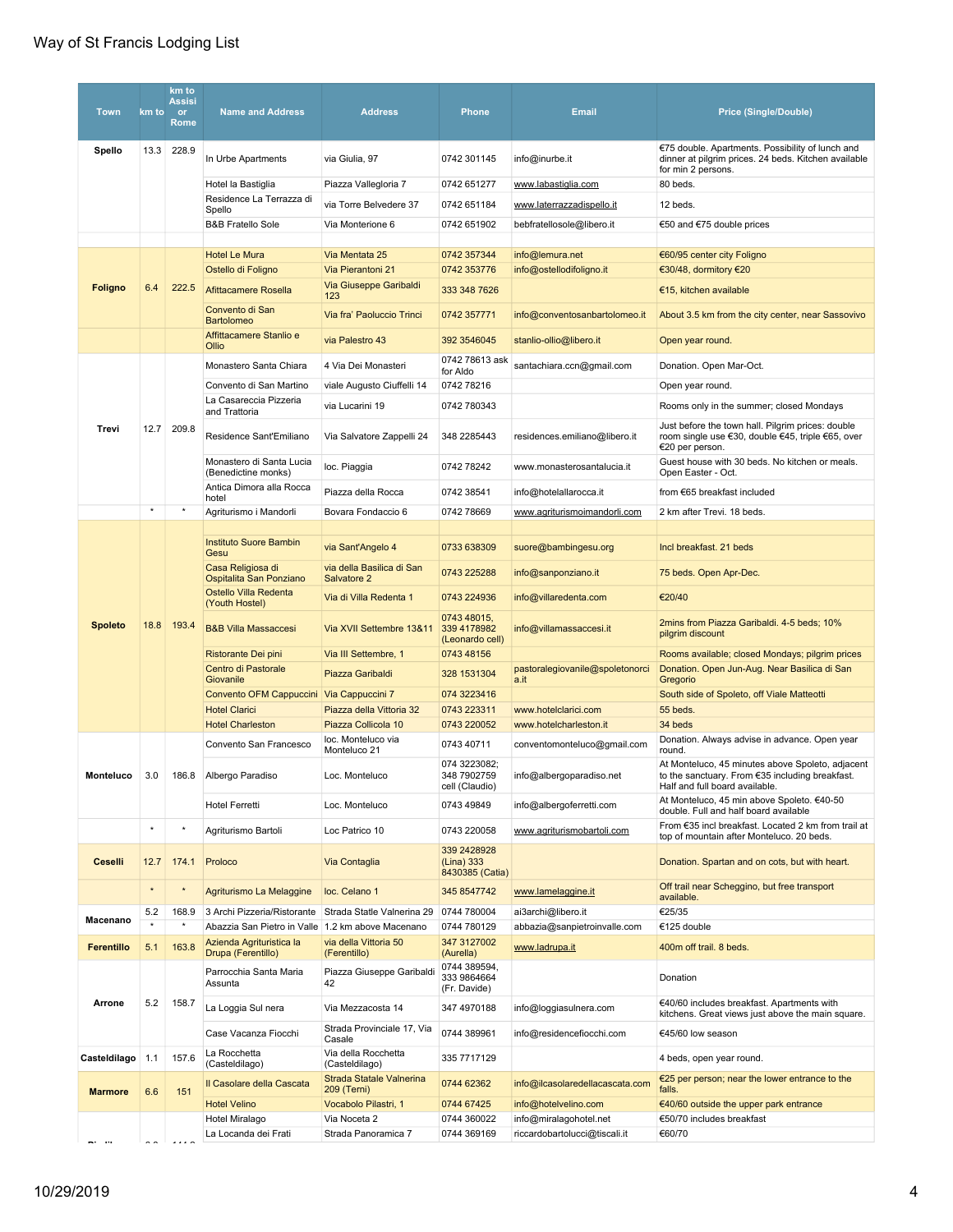| Town              | km to    | km to<br><b>Assisi</b><br><b>or</b><br>Rome | <b>Name and Address</b>                           | <b>Address</b>                           | <b>Phone</b>                                  | <b>Email</b>                            | <b>Price (Single/Double)</b>                                                                                                          |
|-------------------|----------|---------------------------------------------|---------------------------------------------------|------------------------------------------|-----------------------------------------------|-----------------------------------------|---------------------------------------------------------------------------------------------------------------------------------------|
| Spello            | 13.3     | 228.9                                       | In Urbe Apartments                                | via Giulia, 97                           | 0742 301145                                   | info@inurbe.it                          | €75 double. Apartments. Possibility of lunch and<br>dinner at pilgrim prices. 24 beds. Kitchen available<br>for min 2 persons.        |
|                   |          |                                             | Hotel la Bastiglia                                | Piazza Vallegloria 7                     | 0742 651277                                   | www.labastiglia.com                     | 80 beds.                                                                                                                              |
|                   |          |                                             | Residence La Terrazza di                          | via Torre Belvedere 37                   | 0742 651184                                   | www.laterrazzadispello.it               | 12 beds.                                                                                                                              |
|                   |          |                                             | Spello<br><b>B&amp;B Fratello Sole</b>            | Via Monterione 6                         | 0742 651902                                   | bebfratellosole@libero.it               | €50 and €75 double prices                                                                                                             |
|                   |          |                                             |                                                   |                                          |                                               |                                         |                                                                                                                                       |
|                   |          |                                             | <b>Hotel Le Mura</b>                              | Via Mentata 25                           | 0742 357344                                   | info@lemura.net                         | €60/95 center city Foligno                                                                                                            |
|                   |          |                                             | Ostello di Foligno                                | Via Pierantoni 21                        | 0742 353776                                   | info@ostellodifoligno.it                | €30/48, dormitory €20                                                                                                                 |
| <b>Foligno</b>    | 6.4      | 222.5                                       | <b>Afittacamere Rosella</b>                       | Via Giuseppe Garibaldi<br>123            | 333 348 7626                                  |                                         | €15, kitchen available                                                                                                                |
|                   |          |                                             | Convento di San<br><b>Bartolomeo</b>              | Via fra' Paoluccio Trinci                | 0742 357771                                   | info@conventosanbartolomeo.it           | About 3.5 km from the city center, near Sassovivo                                                                                     |
|                   |          |                                             | Affittacamere Stanlio e<br>Ollio                  | via Palestro 43                          | 392 3546045                                   | stanlio-ollio@libero.it                 | Open year round.                                                                                                                      |
|                   |          |                                             | Monastero Santa Chiara                            | 4 Via Dei Monasteri                      | 0742 78613 ask<br>for Aldo                    | santachiara.ccn@gmail.com               | Donation. Open Mar-Oct.                                                                                                               |
|                   |          |                                             | Convento di San Martino                           | viale Augusto Ciuffelli 14               | 0742 78216                                    |                                         | Open year round.                                                                                                                      |
|                   |          |                                             | La Casareccia Pizzeria<br>and Trattoria           | via Lucarini 19                          | 0742 780343                                   |                                         | Rooms only in the summer; closed Mondays                                                                                              |
| Trevi             | 12.7     | 209.8                                       | Residence Sant'Emiliano                           | Via Salvatore Zappelli 24                | 348 2285443                                   | residences.emiliano@libero.it           | Just before the town hall. Pilgrim prices: double<br>room single use €30, double €45, triple €65, over<br>€20 per person.             |
|                   |          |                                             | Monastero di Santa Lucia<br>(Benedictine monks)   | loc. Piaggia                             | 0742 78242                                    | www.monasterosantalucia.it              | Guest house with 30 beds. No kitchen or meals.<br>Open Easter - Oct.                                                                  |
|                   |          |                                             | Antica Dimora alla Rocca<br>hotel                 | Piazza della Rocca                       | 0742 38541                                    | info@hotelallarocca.it                  | from €65 breakfast included                                                                                                           |
|                   | $^\star$ | $^\star$                                    | Agriturismo i Mandorli                            | Bovara Fondaccio 6                       | 0742 78669                                    | www.agriturismoimandorli.com            | 2 km after Trevi. 18 beds.                                                                                                            |
|                   |          |                                             |                                                   |                                          |                                               |                                         |                                                                                                                                       |
|                   |          |                                             | <b>Instituto Suore Bambin</b><br>Gesu             | via Sant'Angelo 4                        | 0733 638309                                   | suore@bambingesu.org                    | Incl breakfast. 21 beds                                                                                                               |
| <b>Spoleto</b>    | 18.8     | 193.4                                       | Casa Religiosa di<br>Ospitalita San Ponziano      | via della Basilica di San<br>Salvatore 2 | 0743 225288                                   | info@sanponziano.it                     | 75 beds. Open Apr-Dec.                                                                                                                |
|                   |          |                                             | Ostello Villa Redenta<br>(Youth Hostel)           | Via di Villa Redenta 1                   | 0743 224936                                   | info@villaredenta.com                   | €20/40                                                                                                                                |
|                   |          |                                             | <b>B&amp;B Villa Massaccesi</b>                   | Via XVII Settembre 13&11                 | 0743 48015,<br>339 4178982<br>(Leonardo cell) | info@villamassaccesi.it                 | 2mins from Piazza Garibaldi. 4-5 beds; 10%<br>pilgrim discount                                                                        |
|                   |          |                                             | Ristorante Dei pini                               | Via III Settembre, 1                     | 0743 48156                                    |                                         | Rooms available; closed Mondays; pilgrim prices                                                                                       |
|                   |          |                                             | Centro di Pastorale<br>Giovanile                  | Piazza Garibaldi                         | 328 1531304                                   | pastoralegiovanile@spoletonorci<br>a.it | Donation. Open Jun-Aug. Near Basilica di San<br>Gregorio                                                                              |
|                   |          |                                             | Convento OFM Cappuccini Via Cappuccini 7          |                                          | 074 3223416                                   |                                         | South side of Spoleto, off Viale Matteotti                                                                                            |
|                   |          |                                             | <b>Hotel Clarici</b>                              | Piazza della Vittoria 32                 | 0743 223311                                   | www.hotelclarici.com                    | 55 beds.                                                                                                                              |
|                   |          |                                             | <b>Hotel Charleston</b>                           | Piazza Collicola 10                      | 0743 220052                                   | www.hotelcharleston.it                  | 34 beds                                                                                                                               |
|                   |          |                                             | Convento San Francesco                            | loc. Monteluco via<br>Monteluco 21       | 0743 40711                                    | conventomonteluco@gmail.com             | Donation. Always advise in advance. Open year<br>round.                                                                               |
| Monteluco         | 3.0      | 186.8                                       | Albergo Paradiso                                  | Loc. Monteluco                           | 074 3223082;<br>348 7902759<br>cell (Claudio) | info@albergoparadiso.net                | At Monteluco, 45 minutes above Spoleto, adjacent<br>to the sanctuary. From €35 including breakfast.<br>Half and full board available. |
|                   |          |                                             | <b>Hotel Ferretti</b>                             | Loc. Monteluco                           | 0743 49849                                    | info@albergoferretti.com                | At Monteluco, 45 min above Spoleto. €40-50<br>double. Full and half board available                                                   |
|                   | $\star$  | $\star$                                     | Agriturismo Bartoli                               | Loc Patrico 10                           | 0743 220058                                   | www.agriturismobartoli.com              | From €35 incl breakfast. Located 2 km from trail at<br>top of mountain after Monteluco. 20 beds.                                      |
| <b>Ceselli</b>    | 12.7     | 174.1                                       | Proloco                                           | Via Contaglia                            | 339 2428928<br>(Lina) 333<br>8430385 (Catia)  |                                         | Donation. Spartan and on cots, but with heart.                                                                                        |
|                   | $\star$  |                                             | Agriturismo La Melaggine                          | loc. Celano 1                            | 345 8547742                                   | www.lamelaggine.it                      | Off trail near Scheggino, but free transport<br>available.                                                                            |
| Macenano          | 5.2      | 168.9                                       | 3 Archi Pizzeria/Ristorante                       | Strada Statle Valnerina 29               | 0744 780004                                   | ai3archi@libero.it                      | €25/35                                                                                                                                |
|                   | $\star$  |                                             | Abazzia San Pietro in Valle 1.2 km above Macenano |                                          | 0744 780129                                   | abbazia@sanpietroinvalle.com            | €125 double                                                                                                                           |
| <b>Ferentillo</b> | 5.1      | 163.8                                       | Azienda Agrituristica la<br>Drupa (Ferentillo)    | via della Vittoria 50<br>(Ferentillo)    | 347 3127002<br>(Aurella)                      | www.ladrupa.it                          | 400m off trail. 8 beds.                                                                                                               |
|                   |          |                                             | Parrocchia Santa Maria<br>Assunta                 | Piazza Giuseppe Garibaldi<br>42          | 0744 389594,<br>333 9864664<br>(Fr. Davide)   |                                         | Donation                                                                                                                              |
| Arrone            | 5.2      | 158.7                                       | La Loggia Sul nera                                | Via Mezzacosta 14                        | 347 4970188                                   | info@loggiasulnera.com                  | €40/60 includes breakfast. Apartments with<br>kitchens. Great views just above the main square.                                       |
|                   |          |                                             | Case Vacanza Fiocchi                              | Strada Provinciale 17, Via<br>Casale     | 0744 389961                                   | info@residencefiocchi.com               | €45/60 low season                                                                                                                     |
| Casteldilago      | 1.1      | 157.6                                       | La Rocchetta<br>(Casteldilago)                    | Via della Rocchetta<br>(Casteldilago)    | 335 7717129                                   |                                         | 4 beds, open year round.                                                                                                              |
| <b>Marmore</b>    | 6.6      | 151                                         | Il Casolare della Cascata                         | Strada Statale Valnerina<br>209 (Terni)  | 0744 62362                                    | info@ilcasolaredellacascata.com         | €25 per person; near the lower entrance to the<br>falls.                                                                              |
|                   |          |                                             | <b>Hotel Velino</b>                               | Vocabolo Pilastri, 1                     | 0744 67425                                    | info@hotelvelino.com                    | €40/60 outside the upper park entrance                                                                                                |
|                   |          |                                             | Hotel Miralago                                    | Via Noceta 2                             | 0744 360022                                   | info@miralagohotel.net                  | €50/70 includes breakfast                                                                                                             |
| <b>Marchines</b>  |          | 1.1.0                                       | La Locanda dei Frati                              | Strada Panoramica 7                      | 0744 369169                                   | riccardobartolucci@tiscali.it           | €60/70                                                                                                                                |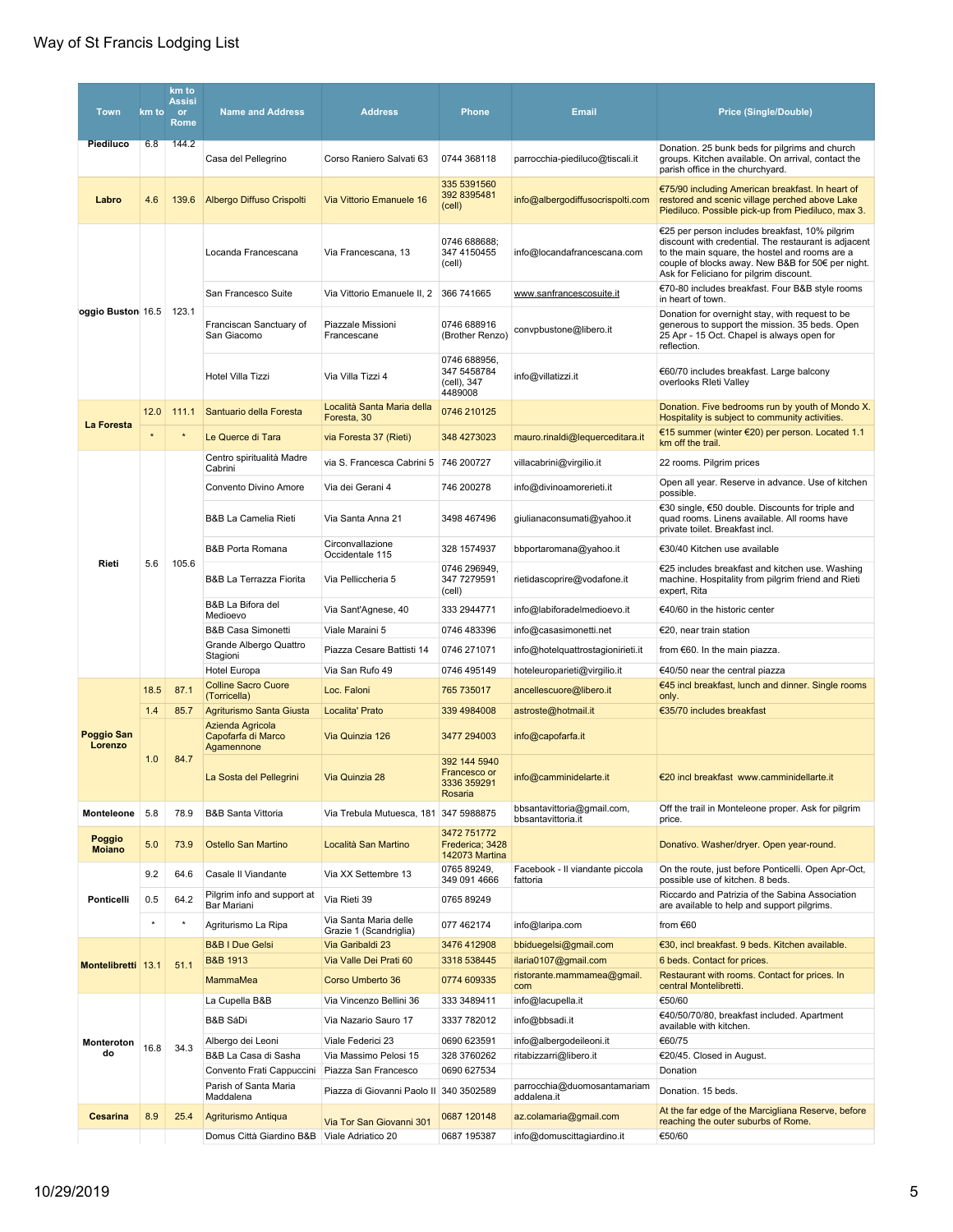| <b>Town</b>                  | km to    | km to<br><b>Assisi</b><br><b>or</b><br><b>Rome</b> | <b>Name and Address</b>                           | <b>Address</b>                                  | <b>Phone</b>                                            | <b>Email</b>                                       | <b>Price (Single/Double)</b>                                                                                                                                                                                                                             |
|------------------------------|----------|----------------------------------------------------|---------------------------------------------------|-------------------------------------------------|---------------------------------------------------------|----------------------------------------------------|----------------------------------------------------------------------------------------------------------------------------------------------------------------------------------------------------------------------------------------------------------|
| Piediluco                    | 6.8      | 144.2                                              | Casa del Pellegrino                               | Corso Raniero Salvati 63                        | 0744 368118                                             | parrocchia-piediluco@tiscali.it                    | Donation. 25 bunk beds for pilgrims and church<br>groups. Kitchen available. On arrival, contact the<br>parish office in the churchyard.                                                                                                                 |
| Labro                        | 4.6      | 139.6                                              | Albergo Diffuso Crispolti                         | Via Vittorio Emanuele 16                        | 335 5391560<br>392 8395481<br>(cell)                    | info@albergodiffusocrispolti.com                   | €75/90 including American breakfast. In heart of<br>restored and scenic village perched above Lake<br>Piediluco. Possible pick-up from Piediluco, max 3.                                                                                                 |
|                              |          |                                                    | Locanda Francescana                               | Via Francescana, 13                             | 0746 688688;<br>347 4150455<br>(cell)                   | info@locandafrancescana.com                        | €25 per person includes breakfast, 10% pilgrim<br>discount with credential. The restaurant is adjacent<br>to the main square, the hostel and rooms are a<br>couple of blocks away. New B&B for 50€ per night.<br>Ask for Feliciano for pilgrim discount. |
|                              |          |                                                    | San Francesco Suite                               | Via Vittorio Emanuele II, 2                     | 366 741665                                              | www.sanfrancescosuite.it                           | €70-80 includes breakfast. Four B&B style rooms<br>in heart of town.                                                                                                                                                                                     |
| oggio Buston 16.5 123.1      |          |                                                    | Franciscan Sanctuary of<br>San Giacomo            | Piazzale Missioni<br>Francescane                | 0746 688916<br>(Brother Renzo)                          | convpbustone@libero.it                             | Donation for overnight stay, with request to be<br>generous to support the mission. 35 beds. Open<br>25 Apr - 15 Oct. Chapel is always open for<br>reflection.                                                                                           |
|                              |          |                                                    | Hotel Villa Tizzi                                 | Via Villa Tizzi 4                               | 0746 688956,<br>347 5458784<br>(cell), 347<br>4489008   | info@villatizzi.it                                 | €60/70 includes breakfast. Large balcony<br>overlooks Rieti Valley                                                                                                                                                                                       |
| La Foresta                   | 12.0     | 111.1                                              | Santuario della Foresta                           | Località Santa Maria della<br>Foresta, 30       | 0746 210125                                             |                                                    | Donation. Five bedrooms run by youth of Mondo X.<br>Hospitality is subject to community activities.                                                                                                                                                      |
|                              | $\star$  |                                                    | Le Querce di Tara                                 | via Foresta 37 (Rieti)                          | 348 4273023                                             | mauro.rinaldi@lequerceditara.it                    | €15 summer (winter €20) per person. Located 1.1<br>km off the trail.                                                                                                                                                                                     |
|                              |          |                                                    | Centro spiritualità Madre<br>Cabrini              | via S. Francesca Cabrini 5 746 200727           |                                                         | villacabrini@virgilio.it                           | 22 rooms. Pilgrim prices                                                                                                                                                                                                                                 |
|                              |          |                                                    | Convento Divino Amore                             | Via dei Gerani 4                                | 746 200278                                              | info@divinoamorerieti.it                           | Open all year. Reserve in advance. Use of kitchen<br>possible.                                                                                                                                                                                           |
|                              |          |                                                    | <b>B&amp;B La Camelia Rieti</b>                   | Via Santa Anna 21                               | 3498 467496                                             | giulianaconsumati@yahoo.it                         | €30 single, €50 double. Discounts for triple and<br>quad rooms. Linens available. All rooms have<br>private toilet. Breakfast incl.                                                                                                                      |
|                              |          |                                                    | <b>B&amp;B Porta Romana</b>                       | Circonvallazione<br>Occidentale 115             | 328 1574937                                             | bbportaromana@yahoo.it                             | €30/40 Kitchen use available                                                                                                                                                                                                                             |
| Rieti                        | 5.6      | 105.6                                              | B&B La Terrazza Fiorita                           | Via Pelliccheria 5                              | 0746 296949,<br>347 7279591<br>(cell)                   | rietidascoprire@vodafone.it                        | €25 includes breakfast and kitchen use. Washing<br>machine. Hospitality from pilgrim friend and Rieti<br>expert, Rita                                                                                                                                    |
|                              |          |                                                    | B&B La Bifora del<br>Medioevo                     | Via Sant'Agnese, 40                             | 333 2944771                                             | info@labiforadelmedioevo.it                        | €40/60 in the historic center                                                                                                                                                                                                                            |
|                              |          |                                                    | B&B Casa Simonetti                                | Viale Maraini 5                                 | 0746 483396                                             | info@casasimonetti.net                             | €20, near train station                                                                                                                                                                                                                                  |
|                              |          |                                                    | Grande Albergo Quattro<br>Stagioni                | Piazza Cesare Battisti 14                       | 0746 271071                                             | info@hotelquattrostagionirieti.it                  | from €60. In the main piazza.                                                                                                                                                                                                                            |
|                              |          |                                                    | <b>Hotel Europa</b><br><b>Colline Sacro Cuore</b> | Via San Rufo 49                                 | 0746 495149                                             | hoteleuroparieti@virgilio.it                       | €40/50 near the central piazza<br>€45 incl breakfast, lunch and dinner. Single rooms                                                                                                                                                                     |
|                              | 18.5     | 87.1                                               | (Torricella)                                      | Loc. Faloni                                     | 765 735017                                              | ancellescuore@libero.it                            | only.                                                                                                                                                                                                                                                    |
|                              | 1.4      | 85.7                                               | Agriturismo Santa Giusta<br>Azienda Agricola      | Localita' Prato                                 | 339 4984008                                             | astroste@hotmail.it                                | €35/70 includes breakfast                                                                                                                                                                                                                                |
| <b>Poggio San</b><br>Lorenzo | 1.0      | 84.7                                               | Capofarfa di Marco<br>Agamennone                  | Via Quinzia 126                                 | 3477 294003                                             | info@capofarfa.it                                  |                                                                                                                                                                                                                                                          |
|                              |          |                                                    | La Sosta del Pellegrini                           | Via Quinzia 28                                  | 392 144 5940<br>Francesco or<br>3336 359291<br>Rosaria  | info@camminidelarte.it                             | €20 incl breakfast www.camminidellarte.it                                                                                                                                                                                                                |
| Monteleone                   | 5.8      | 78.9                                               | <b>B&amp;B Santa Vittoria</b>                     | Via Trebula Mutuesca, 181 347 5988875           |                                                         | bbsantavittoria@gmail.com,<br>bbsantavittoria.it   | Off the trail in Monteleone proper. Ask for pilgrim<br>price.                                                                                                                                                                                            |
| Poggio<br><b>Moiano</b>      | 5.0      | 73.9                                               | Ostello San Martino                               | Località San Martino                            | 3472 751772<br>Frederica; 3428<br><b>142073 Martina</b> |                                                    | Donativo. Washer/dryer. Open year-round.                                                                                                                                                                                                                 |
|                              | 9.2      | 64.6                                               | Casale II Viandante                               | Via XX Settembre 13                             | 0765 89249,<br>349 091 4666                             | Facebook - Il viandante piccola<br>fattoria        | On the route, just before Ponticelli. Open Apr-Oct,<br>possible use of kitchen. 8 beds.                                                                                                                                                                  |
| Ponticelli                   | 0.5      | 64.2                                               | Pilgrim info and support at<br>Bar Mariani        | Via Rieti 39                                    | 0765 89249                                              |                                                    | Riccardo and Patrizia of the Sabina Association<br>are available to help and support pilgrims.                                                                                                                                                           |
|                              | $^\star$ | $^\star$                                           | Agriturismo La Ripa                               | Via Santa Maria delle<br>Grazie 1 (Scandriglia) | 077 462174                                              | info@laripa.com                                    | from €60                                                                                                                                                                                                                                                 |
|                              |          |                                                    | <b>B&amp;B I Due Gelsi</b>                        | Via Garibaldi 23                                | 3476 412908                                             | bbiduegelsi@gmail.com                              | €30, incl breakfast. 9 beds. Kitchen available.                                                                                                                                                                                                          |
| Montelibretti 13.1           |          | 51.1                                               | <b>B&amp;B 1913</b>                               | Via Valle Dei Prati 60                          | 3318 538445                                             | ilaria0107@gmail.com<br>ristorante.mammamea@gmail. | 6 beds. Contact for prices.<br>Restaurant with rooms. Contact for prices. In                                                                                                                                                                             |
|                              |          |                                                    | MammaMea                                          | Corso Umberto 36                                | 0774 609335                                             | com                                                | central Montelibretti.                                                                                                                                                                                                                                   |
|                              |          |                                                    | La Cupella B&B<br>B&B SáDi                        | Via Vincenzo Bellini 36<br>Via Nazario Sauro 17 | 333 3489411<br>3337 782012                              | info@lacupella.it                                  | €50/60<br>€40/50/70/80, breakfast included. Apartment                                                                                                                                                                                                    |
|                              |          |                                                    | Albergo dei Leoni                                 | Viale Federici 23                               | 0690 623591                                             | info@bbsadi.it<br>info@albergodeileoni.it          | available with kitchen.<br>€60/75                                                                                                                                                                                                                        |
| Monteroton<br>do             | 16.8     | 34.3                                               | B&B La Casa di Sasha                              | Via Massimo Pelosi 15                           | 328 3760262                                             | ritabizzarri@libero.it                             | €20/45. Closed in August.                                                                                                                                                                                                                                |
|                              |          |                                                    | Convento Frati Cappuccini                         | Piazza San Francesco                            | 0690 627534                                             |                                                    | Donation                                                                                                                                                                                                                                                 |
|                              |          |                                                    | Parish of Santa Maria<br>Maddalena                | Piazza di Giovanni Paolo II 340 3502589         |                                                         | parrocchia@duomosantamariam<br>addalena.it         | Donation. 15 beds.                                                                                                                                                                                                                                       |
| <b>Cesarina</b>              | 8.9      | 25.4                                               | Agriturismo Antiqua                               | Via Tor San Giovanni 301                        | 0687 120148                                             | az.colamaria@gmail.com                             | At the far edge of the Marcigliana Reserve, before<br>reaching the outer suburbs of Rome.                                                                                                                                                                |
|                              |          |                                                    | Domus Città Giardino B&B                          | Viale Adriatico 20                              | 0687 195387                                             | info@domuscittagiardino.it                         | €50/60                                                                                                                                                                                                                                                   |